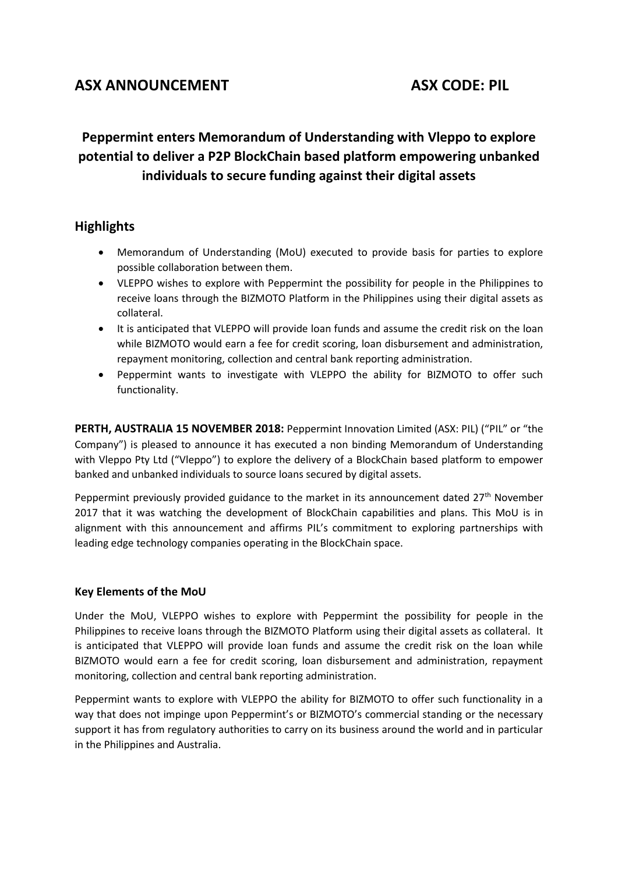## ASX ANNOUNCEMENT ASX CODE: PIL

# **Peppermint enters Memorandum of Understanding with Vleppo to explore potential to deliver a P2P BlockChain based platform empowering unbanked individuals to secure funding against their digital assets**

## **Highlights**

- Memorandum of Understanding (MoU) executed to provide basis for parties to explore possible collaboration between them.
- VLEPPO wishes to explore with Peppermint the possibility for people in the Philippines to receive loans through the BIZMOTO Platform in the Philippines using their digital assets as collateral.
- It is anticipated that VLEPPO will provide loan funds and assume the credit risk on the loan while BIZMOTO would earn a fee for credit scoring, loan disbursement and administration, repayment monitoring, collection and central bank reporting administration.
- Peppermint wants to investigate with VLEPPO the ability for BIZMOTO to offer such functionality.

**PERTH, AUSTRALIA 15 NOVEMBER 2018:** Peppermint Innovation Limited (ASX: PIL) ("PIL" or "the Company") is pleased to announce it has executed a non binding Memorandum of Understanding with Vleppo Pty Ltd ("Vleppo") to explore the delivery of a BlockChain based platform to empower banked and unbanked individuals to source loans secured by digital assets.

Peppermint previously provided guidance to the market in its announcement dated 27<sup>th</sup> November 2017 that it was watching the development of BlockChain capabilities and plans. This MoU is in alignment with this announcement and affirms PIL's commitment to exploring partnerships with leading edge technology companies operating in the BlockChain space.

## **Key Elements of the MoU**

Under the MoU, VLEPPO wishes to explore with Peppermint the possibility for people in the Philippines to receive loans through the BIZMOTO Platform using their digital assets as collateral. It is anticipated that VLEPPO will provide loan funds and assume the credit risk on the loan while BIZMOTO would earn a fee for credit scoring, loan disbursement and administration, repayment monitoring, collection and central bank reporting administration.

Peppermint wants to explore with VLEPPO the ability for BIZMOTO to offer such functionality in a way that does not impinge upon Peppermint's or BIZMOTO's commercial standing or the necessary support it has from regulatory authorities to carry on its business around the world and in particular in the Philippines and Australia.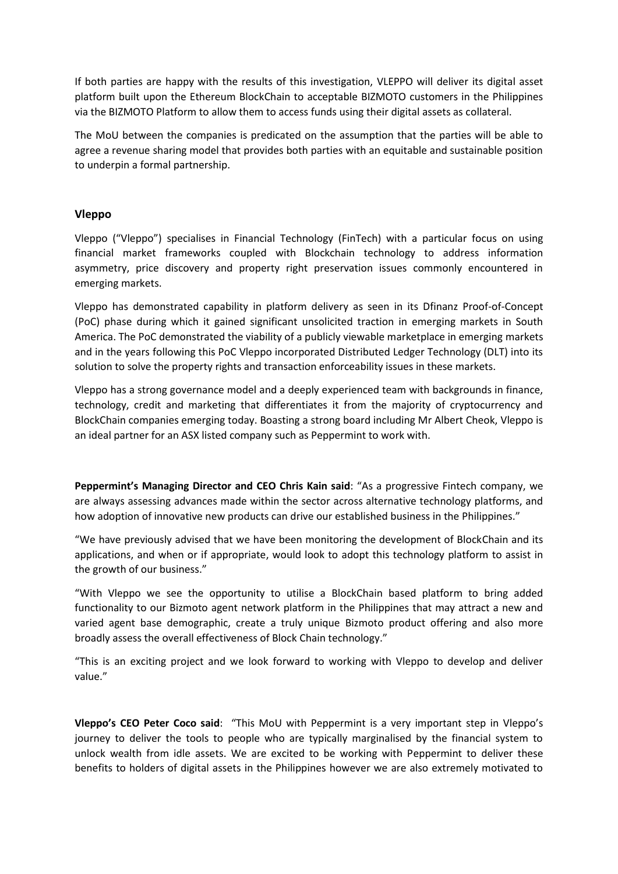If both parties are happy with the results of this investigation, VLEPPO will deliver its digital asset platform built upon the Ethereum BlockChain to acceptable BIZMOTO customers in the Philippines via the BIZMOTO Platform to allow them to access funds using their digital assets as collateral.

The MoU between the companies is predicated on the assumption that the parties will be able to agree a revenue sharing model that provides both parties with an equitable and sustainable position to underpin a formal partnership.

### **Vleppo**

Vleppo ("Vleppo") specialises in Financial Technology (FinTech) with a particular focus on using financial market frameworks coupled with Blockchain technology to address information asymmetry, price discovery and property right preservation issues commonly encountered in emerging markets.

Vleppo has demonstrated capability in platform delivery as seen in its Dfinanz Proof-of-Concept (PoC) phase during which it gained significant unsolicited traction in emerging markets in South America. The PoC demonstrated the viability of a publicly viewable marketplace in emerging markets and in the years following this PoC Vleppo incorporated Distributed Ledger Technology (DLT) into its solution to solve the property rights and transaction enforceability issues in these markets.

Vleppo has a strong governance model and a deeply experienced team with backgrounds in finance, technology, credit and marketing that differentiates it from the majority of cryptocurrency and BlockChain companies emerging today. Boasting a strong board including Mr Albert Cheok, Vleppo is an ideal partner for an ASX listed company such as Peppermint to work with.

**Peppermint's Managing Director and CEO Chris Kain said**: "As a progressive Fintech company, we are always assessing advances made within the sector across alternative technology platforms, and how adoption of innovative new products can drive our established business in the Philippines."

"We have previously advised that we have been monitoring the development of BlockChain and its applications, and when or if appropriate, would look to adopt this technology platform to assist in the growth of our business."

"With Vleppo we see the opportunity to utilise a BlockChain based platform to bring added functionality to our Bizmoto agent network platform in the Philippines that may attract a new and varied agent base demographic, create a truly unique Bizmoto product offering and also more broadly assess the overall effectiveness of Block Chain technology."

"This is an exciting project and we look forward to working with Vleppo to develop and deliver value."

**Vleppo's CEO Peter Coco said**: "This MoU with Peppermint is a very important step in Vleppo's journey to deliver the tools to people who are typically marginalised by the financial system to unlock wealth from idle assets. We are excited to be working with Peppermint to deliver these benefits to holders of digital assets in the Philippines however we are also extremely motivated to